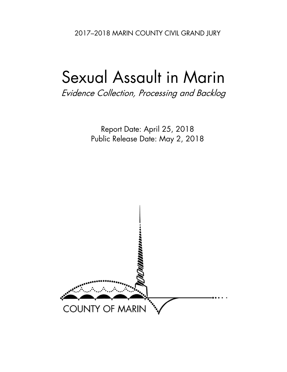2017–2018 MARIN COUNTY CIVIL GRAND JURY

# Sexual Assault in Marin

Evidence Collection, Processing and Backlog

Report Date: April 25, 2018 Public Release Date: May 2, 2018

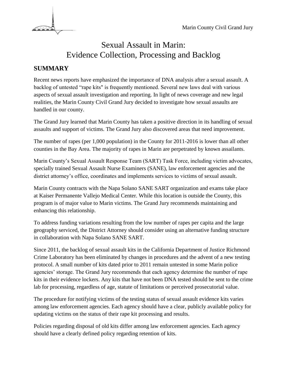

# Sexual Assault in Marin: Evidence Collection, Processing and Backlog

# **SUMMARY**

Recent news reports have emphasized the importance of DNA analysis after a sexual assault. A backlog of untested "rape kits" is frequently mentioned. Several new laws deal with various aspects of sexual assault investigation and reporting. In light of news coverage and new legal realities, the Marin County Civil Grand Jury decided to investigate how sexual assaults are handled in our county.

The Grand Jury learned that Marin County has taken a positive direction in its handling of sexual assaults and support of victims. The Grand Jury also discovered areas that need improvement.

The number of rapes (per 1,000 population) in the County for 2011-2016 is lower than all other counties in the Bay Area. The majority of rapes in Marin are perpetrated by known assailants.

Marin County's Sexual Assault Response Team (SART) Task Force, including victim advocates, specially trained Sexual Assault Nurse Examiners (SANE), law enforcement agencies and the district attorney's office, coordinates and implements services to victims of sexual assault.

Marin County contracts with the Napa Solano SANE SART organization and exams take place at Kaiser Permanente Vallejo Medical Center. While this location is outside the County, this program is of major value to Marin victims. The Grand Jury recommends maintaining and enhancing this relationship.

To address funding variations resulting from the low number of rapes per capita and the large geography serviced, the District Attorney should consider using an alternative funding structure in collaboration with Napa Solano SANE SART.

Since 2011, the backlog of sexual assault kits in the California Department of Justice Richmond Crime Laboratory has been eliminated by changes in procedures and the advent of a new testing protocol. A small number of kits dated prior to 2011 remain untested in some Marin police agencies' storage. The Grand Jury recommends that each agency determine the number of rape kits in their evidence lockers. Any kits that have not been DNA tested should be sent to the crime lab for processing, regardless of age, statute of limitations or perceived prosecutorial value.

The procedure for notifying victims of the testing status of sexual assault evidence kits varies among law enforcement agencies. Each agency should have a clear, publicly available policy for updating victims on the status of their rape kit processing and results.

Policies regarding disposal of old kits differ among law enforcement agencies. Each agency should have a clearly defined policy regarding retention of kits.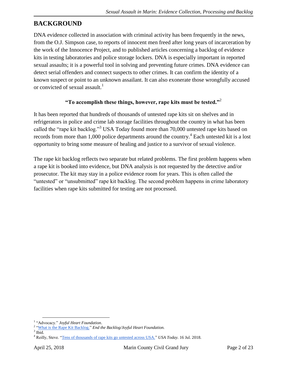# **BACKGROUND**

DNA evidence collected in association with criminal activity has been frequently in the news, from the O.J. Simpson case, to reports of innocent men freed after long years of incarceration by the work of the Innocence Project, and to published articles concerning a backlog of evidence kits in testing laboratories and police storage lockers. DNA is especially important in reported sexual assaults; it is a powerful tool in solving and preventing future crimes. DNA evidence can detect serial offenders and connect suspects to other crimes. It can confirm the identity of a known suspect or point to an unknown assailant. It can also exonerate those wrongfully accused or convicted of sexual assault.<sup>1</sup>

#### **"To accomplish these things, however, rape kits must be tested."**<sup>2</sup>

It has been reported that hundreds of thousands of untested rape kits sit on shelves and in refrigerators in police and crime lab storage facilities throughout the country in what has been called the "rape kit backlog."<sup>3</sup> USA Today found more than 70,000 untested rape kits based on records from more than 1,000 police departments around the country.<sup>4</sup> Each untested kit is a lost opportunity to bring some measure of healing and justice to a survivor of sexual violence.

The rape kit backlog reflects two separate but related problems. The first problem happens when a rape kit is booked into evidence, but DNA analysis is not requested by the detective and/or prosecutor. The kit may stay in a police evidence room for years. This is often called the "untested" or "unsubmitted" rape kit backlog. The second problem happens in crime laboratory facilities when rape kits submitted for testing are not processed.

 $\overline{a}$ 1 ["Advocacy."](http://www.joyfulheartfoundation.org/programs/advocacy) *Joyful Heart Foundation*.

<sup>&</sup>lt;sup>2</sup> ["What is the Rape Kit Backlog."](http://www.endthebacklog.org/backlog/what-rape-kit-backlog) *End the Backlog/Joyful Heart Foundation.* 

 $3$  Ibid.

<sup>4</sup> Reilly, Steve. ["Tens of thousands of rape kits go untested across USA."](https://www.usatoday.com/story/news/2015/07/16/untested-rape-kits-evidence-across-usa/29902199/) *USA Today.* 16 Jul. 2018.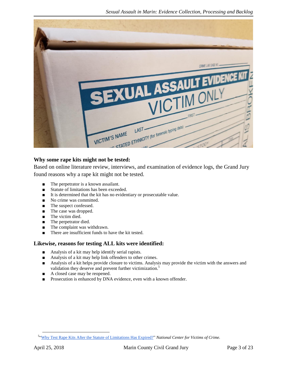

#### **Why some rape kits might not be tested:**

Based on online literature review, interviews, and examination of evidence logs, the Grand Jury found reasons why a rape kit might not be tested.

- The perpetrator is a known assailant.
- Statute of limitations has been exceeded.
- It is determined that the kit has no evidentiary or prosecutable value.
- No crime was committed.
- The suspect confessed.
- The case was dropped.
- The victim died.
- The perpetrator died.
- The complaint was withdrawn.
- There are insufficient funds to have the kit tested.

#### **Likewise, reasons for testing ALL kits were identified:**

- Analysis of a kit may help identify serial rapists.
- Analysis of a kit may help link offenders to other crimes.
- Analysis of a kit helps provide closure to victims. Analysis may provide the victim with the answers and validation they deserve and prevent further victimization.<sup>5</sup>
- A closed case may be reopened.
- Prosecution is enhanced by DNA evidence, even with a known offender.

<sup>5</sup> ["Why Test Rape Kits After the Statute of Limitations Has Expired?"](http://victimsofcrime.org/docs/sak-backlog-laws/why-test-expired-kits-victim-centric.pdf?sfvrsn=2) *National Center for Victims of Crime.*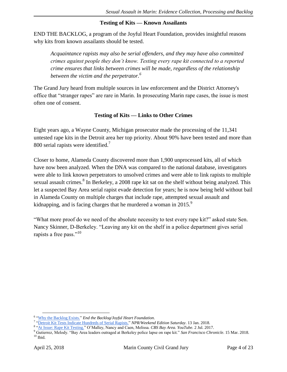#### **Testing of Kits — Known Assailants**

END THE BACKLOG, a program of the Joyful Heart Foundation, provides insightful reasons why kits from known assailants should be tested.

*Acquaintance rapists may also be serial offenders, and they may have also committed crimes against people they don't know. Testing every rape kit connected to a reported crime ensures that links between crimes will be made, regardless of the relationship between the victim and the perpetrator.<sup>6</sup>*

The Grand Jury heard from multiple sources in law enforcement and the District Attorney's office that "stranger rapes" are rare in Marin. In prosecuting Marin rape cases, the issue is most often one of consent.

#### **Testing of Kits — Links to Other Crimes**

Eight years ago, a Wayne County, Michigan prosecutor made the processing of the 11,341 untested rape kits in the Detroit area her top priority. About 90% have been tested and more than 800 serial rapists were identified.<sup>7</sup>

Closer to home, Alameda County discovered more than 1,900 unprocessed kits, all of which have now been analyzed. When the DNA was compared to the national database, investigators were able to link known perpetrators to unsolved crimes and were able to link rapists to multiple sexual assault crimes.<sup>8</sup> In Berkeley, a 2008 rape kit sat on the shelf without being analyzed. This let a suspected Bay Area serial rapist evade detection for years; he is now being held without bail in Alameda County on multiple charges that include rape, attempted sexual assault and kidnapping, and is facing charges that he murdered a woman in  $2015$ .<sup>9</sup>

"What more proof do we need of the absolute necessity to test every rape kit?" asked state Sen. Nancy Skinner, D-Berkeley. "Leaving any kit on the shelf in a police department gives serial rapists a free pass."<sup>10</sup>

<sup>&</sup>lt;sup>6</sup> ["Why the Backlog Exists."](http://www.endthebacklog.org/backlog/why-backlog-exists) End the Backlog/Joyful Heart Foundation.

<sup>7</sup> ["Detroit Kit Tests Indicate Hundreds of Serial Rapists."](https://www.npr.org/2018/01/13/577833643/detroit-kit-tests-indicate-hundreds-of-serial-rapists) *NPR/Weekend Edition Saturday*. 13 Jan. 2018.

<sup>8</sup> ["At Issue: Rape Kit Testing."](https://www.youtube.com/watch?v=vAPa5xE4hK4) O'Malley, Nancy and Caen, Melissa. *CBS Bay Area. YouTube*. 2 Jul. 2017.

<sup>9</sup> Gutierrez, Melody. "Bay Area leaders outraged at Berkeley police lapse on rape kit." *San Francisco Chronicle*. 15 Mar. 2018.  $^{10}$  Ibid.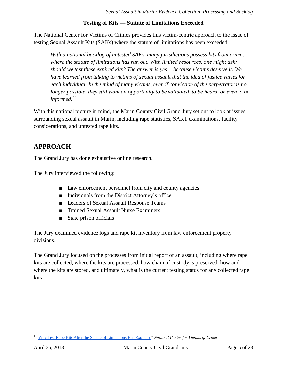#### **Testing of Kits — Statute of Limitations Exceeded**

The National Center for Victims of Crimes provides this victim-centric approach to the issue of testing Sexual Assault Kits (SAKs) where the statute of limitations has been exceeded.

*With a national backlog of untested SAKs, many jurisdictions possess kits from crimes where the statute of limitations has run out. With limited resources, one might ask: should we test these expired kits? The answer is yes— because victims deserve it. We have learned from talking to victims of sexual assault that the idea of justice varies for each individual. In the mind of many victims, even if conviction of the perpetrator is no longer possible, they still want an opportunity to be validated, to be heard, or even to be informed.<sup>11</sup>*

With this national picture in mind, the Marin County Civil Grand Jury set out to look at issues surrounding sexual assault in Marin, including rape statistics, SART examinations, facility considerations, and untested rape kits.

# **APPROACH**

The Grand Jury has done exhaustive online research.

The Jury interviewed the following:

- Law enforcement personnel from city and county agencies
- Individuals from the District Attorney's office
- Leaders of Sexual Assault Response Teams
- Trained Sexual Assault Nurse Examiners
- State prison officials

The Jury examined evidence logs and rape kit inventory from law enforcement property divisions.

The Grand Jury focused on the processes from initial report of an assault, including where rape kits are collected, where the kits are processed, how chain of custody is preserved, how and where the kits are stored, and ultimately, what is the current testing status for any collected rape kits.

 $\overline{a}$ <sup>11</sup>["Why Test Rape Kits After the Statute of Limitations Has Expired?](http://victimsofcrime.org/docs/sak-backlog-laws/why-test-expired-kits-victim-centric.pdf?sfvrsn=2)*" National Center for Victims of Crime.*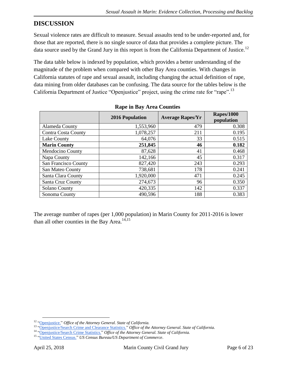# **DISCUSSION**

Sexual violence rates are difficult to measure. Sexual assaults tend to be under-reported and, for those that are reported, there is no single source of data that provides a complete picture. The data source used by the Grand Jury in this report is from the California Department of Justice.<sup>12</sup>

The data table below is indexed by population, which provides a better understanding of the magnitude of the problem when compared with other Bay Area counties. With changes in California statutes of rape and sexual assault, including changing the actual definition of rape, data mining from older databases can be confusing. The data source for the tables below is the California Department of Justice "Openjustice" project, using the crime rate for "rape".<sup>13</sup>

|                         | <b>2016 Population</b> | <b>Average Rapes/Yr</b> | <b>Rapes/1000</b><br>population |  |
|-------------------------|------------------------|-------------------------|---------------------------------|--|
| Alameda County          | 1,553,960              | 479                     | 0.308                           |  |
| Contra Costa County     | 1,078,257              | 211                     | 0.195                           |  |
| Lake County             | 64,076                 | 33                      | 0.515                           |  |
| <b>Marin County</b>     | 251,845                | 46                      | 0.182                           |  |
| <b>Mendocino County</b> | 87,628                 | 41                      | 0.468                           |  |
| Napa County             | 142,166                | 45                      | 0.317                           |  |
| San Francisco County    | 827,420                | 243                     | 0.293                           |  |
| San Mateo County        | 738,681                | 178                     | 0.241                           |  |
| Santa Clara County      | 1,920,000              | 471                     | 0.245                           |  |
| Santa Cruz County       | 274,673                | 96                      | 0.350                           |  |
| <b>Solano County</b>    | 420,335                | 142                     | 0.337                           |  |
| Sonoma County           | 490,596                | 188                     | 0.383                           |  |

#### **Rape in Bay Area Counties**

The average number of rapes (per 1,000 population) in Marin County for 2011-2016 is lower than all other counties in the Bay Area.<sup>14,15</sup>

 $\overline{a}$ <sup>12</sup> ["Openjustice."](https://openjustice.doj.ca.gov/) *Office of the Attorney General. State of California.*

<sup>13</sup> ["Openjustice/Search Crime and Clearance Statistics."](https://openjustice.doj.ca.gov/crime-statistics/crimes-clearances) *Office of the Attorney General. State of California.*

<sup>14</sup> ["Openjustice/Search Crime Statistics."](https://openjustice.doj.ca.gov/crime-statistics/) *Office of the Attorney General. State of California.*

<sup>15</sup> ["United States Census."](https://www.census.gov/) *US Census Bureau/US Department of Commerce*.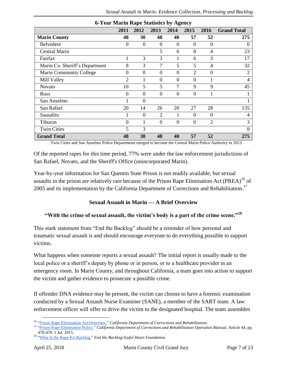| 0-Tear marm isape biausites by Agency |                |                |                |                |                |                  |                    |  |  |
|---------------------------------------|----------------|----------------|----------------|----------------|----------------|------------------|--------------------|--|--|
|                                       | 2011           | 2012           | 2013           | 2014           | 2015           | 2016             | <b>Grand Total</b> |  |  |
| <b>Marin County</b>                   | 48             | 30             | 48             | 40             | 57             | 52               | 275                |  |  |
| Belvedere                             | $\overline{0}$ | $\overline{0}$ | $\theta$       | $\Omega$       | $\Omega$       | $\boldsymbol{0}$ | 0                  |  |  |
| <b>Central Marin</b>                  |                |                | 5              | 6              | 8              | 4                | 23                 |  |  |
| Fairfax                               | 1              | 3              | 3              | 1              | 6              | 3                | 17                 |  |  |
| Marin Co. Sheriff's Department        | 8              | 3              | 7              | 5              | 5              | $\overline{4}$   | 32                 |  |  |
| Marin Community College               | $\overline{0}$ | $\overline{0}$ | $\overline{0}$ | $\overline{0}$ | $\overline{2}$ | $\boldsymbol{0}$ | $\overline{2}$     |  |  |
| Mill Valley                           | 2              |                | $\Omega$       | $\Omega$       | $\Omega$       |                  | $\overline{4}$     |  |  |
| <b>Novato</b>                         | 10             | 5              | 5              | 7              | 9              | 9                | 45                 |  |  |
| Ross                                  | $\Omega$       | $\Omega$       | $\Omega$       | $\theta$       | $\Omega$       |                  |                    |  |  |
| San Anselmo                           |                | $\overline{0}$ |                |                |                |                  |                    |  |  |
| San Rafael                            | 20             | 14             | 26             | 20             | 27             | 28               | 135                |  |  |
| Sausalito                             |                | $\theta$       | $\overline{2}$ |                | $\Omega$       | $\theta$         | 4                  |  |  |
| Tiburon                               | $\theta$       |                | $\overline{0}$ | $\overline{0}$ | $\theta$       | $\overline{2}$   | 3                  |  |  |
| <b>Twin Cities</b>                    | 5              | 3              |                |                |                |                  | 8                  |  |  |
| <b>Grand Total</b>                    | 48             | 30             | 48             | 40             | 57             | 52               | 275                |  |  |

**6-Year Marin Rape Statistics by Agency**

Twin Cities and San Anselmo Police Departments merged to become the Central Marin Police Authority in 2013

Of the reported rapes for this time period, 77% were under the law enforcement jurisdictions of San Rafael, Novato, and the Sheriff's Office (unincorporated Marin).

Year-by-year information for San Quentin State Prison is not readily available, but sexual assaults in the prison are relatively rare because of the Prison Rape Elimination Act (PREA)<sup>16</sup> of 2005 and its implementation by the California Department of Corrections and Rehabilitation.<sup>17</sup>

#### **Sexual Assault in Marin — A Brief Overview**

# **"With the crime of sexual assault, the victim's body is a part of the crime scene."<sup>18</sup>**

This stark statement from "End the Backlog" should be a reminder of how personal and traumatic sexual assault is and should encourage everyone to do everything possible to support victims.

What happens when someone reports a sexual assault? The initial report is usually made to the local police or a sheriff's deputy by phone or in person, or to a healthcare provider in an emergency room. In Marin County, and throughout California, a team goes into action to support the victim and gather evidence to prosecute a possible crime.

If offender DNA evidence may be present, the victim can choose to have a forensic examination conducted by a Sexual Assault Nurse Examiner (SANE), a member of the SART team. A law enforcement officer will offer to drive the victim to the designated hospital. The team assembles

 $\overline{a}$ <sup>16</sup> ["Prison Rape Elimination Act/Overview."](http://www.cdcr.ca.gov/PREA/index.html) *California Department of Corrections and Rehabilitation.*

<sup>17</sup> ["Prison Rape Elimination Policy."](http://www.cdcr.ca.gov/PREA/docs/2016-DOM-54040.pdf) *California Department of Corrections and Rehabilitation Operation Manual,* Article 44, pp. 470-478. 1 Jul. 2015.

<sup>18</sup> ["What Is the Rape Kit Backlog."](http://www.endthebacklog.org/backlog/what-rape-kit-backlog) *End the Backlog/Joyful Heart Foundation.*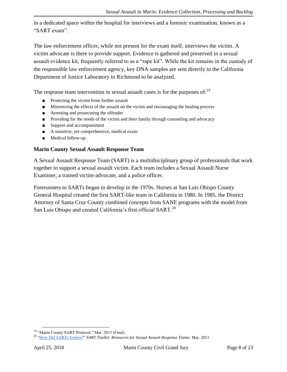in a dedicated space within the hospital for interviews and a forensic examination, known as a "SART exam".

The law enforcement officer, while not present for the exam itself, interviews the victim. A victim advocate is there to provide support. Evidence is gathered and preserved in a sexual assault evidence kit, frequently referred to as a "rape kit". While the kit remains in the custody of the responsible law enforcement agency, key DNA samples are sent directly to the California Department of Justice Laboratory in Richmond to be analyzed.

The response team intervention in sexual assault cases is for the purposes of:<sup>19</sup>

- Protecting the victim from further assault
- Minimizing the effects of the assault on the victim and encouraging the healing process
- Arresting and prosecuting the offender
- Providing for the needs of the victim and their family through counseling and advocacy
- Support and accompaniment
- A sensitive, yet comprehensive, medical exam
- Medical follow-up

#### **Marin County Sexual Assault Response Team**

A Sexual Assault Response Team (SART) is a multidisciplinary group of professionals that work together to support a sexual assault victim. Each team includes a Sexual Assault Nurse Examiner, a trained victim-advocate, and a police officer.

Forerunners to SARTs began to develop in the 1970s. Nurses at San Luis Obispo County General Hospital created the first SART-like team in California in 1980. In 1985, the District Attorney of Santa Cruz County combined concepts from SANE programs with the model from San Luis Obispo and created California's first official SART.<sup>20</sup>

<sup>&</sup>lt;sup>19</sup> "Marin County SART Protocol." Mar. 2015 (Final).

<sup>20</sup> ["How Did SARTs Evolve?"](https://ovc.ncjrs.gov/sartkit/about/about-evolve-print.html) *SART Toolkit: Resources for Sexual Assault Response Teams*. Mar. 2011.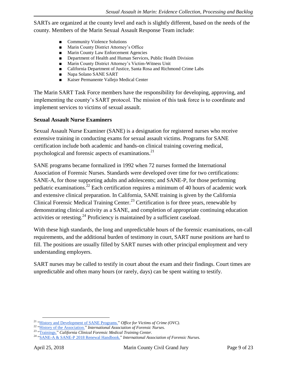SARTs are organized at the county level and each is slightly different, based on the needs of the county. Members of the Marin Sexual Assault Response Team include:

- Community Violence Solutions
- Marin County District Attorney's Office
- Marin County Law Enforcement Agencies
- Department of Health and Human Services, Public Health Division
- Marin County District Attorney's Victim-Witness Unit
- California Department of Justice, Santa Rosa and Richmond Crime Labs
- Napa Solano SANE SART
- Kaiser Permanente Vallejo Medical Center

The Marin SART Task Force members have the responsibility for developing, approving, and implementing the county's SART protocol. The mission of this task force is to coordinate and implement services to victims of sexual assault.

#### **Sexual Assault Nurse Examiners**

Sexual Assault Nurse Examiner (SANE) is a designation for registered nurses who receive extensive training in conducting exams for sexual assault victims. Programs for SANE certification include both academic and hands-on clinical training covering medical, psychological and forensic aspects of examinations. $^{21}$ 

SANE programs became formalized in 1992 when 72 nurses formed the International Association of Forensic Nurses. Standards were developed over time for two certifications: SANE-A, for those supporting adults and adolescents; and SANE-P, for those performing pediatric examinations.<sup>22</sup> Each certification requires a minimum of 40 hours of academic work and extensive clinical preparation. In California, SANE training is given by the California Clinical Forensic Medical Training Center.<sup>23</sup> Certification is for three years, renewable by demonstrating clinical activity as a SANE, and completion of appropriate continuing education activities or retesting.<sup>24</sup> Proficiency is maintained by a sufficient caseload.

With these high standards, the long and unpredictable hours of the forensic examinations, on-call requirements, and the additional burden of testimony in court, SART nurse positions are hard to fill. The positions are usually filled by SART nurses with other principal employment and very understanding employers.

SART nurses may be called to testify in court about the exam and their findings. Court times are unpredictable and often many hours (or rarely, days) can be spent waiting to testify.

 $\overline{a}$ <sup>21</sup> ["History and Development of SANE](https://www.ovcttac.gov/saneguide/introduction/history-and-development-of-sane-programs/) Programs." *Office for Victims of Crime (OVC).*

<sup>22</sup> ["History of the Association."](http://www.forensicnurses.org/?page=aboutus) *International Association of Forensic Nurses.*

<sup>23</sup> ["Trainings."](https://www.ccfmtc.org/training-products/training-brochures/) *California Clinical Forensic Medical Training Center.*

<sup>24</sup> ["SANE-A & SANE-P 2018 Renewal Handbook."](http://www.forensicnurses.org/resource/resmgr/certification/2018_Renewal_Handbook_and_A.docx) *International Association of Forensic Nurses.*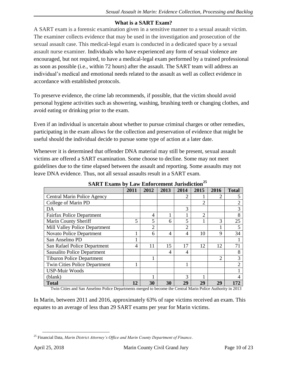#### **What is a SART Exam?**

A SART exam is a forensic examination given in a sensitive manner to a sexual assault victim. The examiner collects evidence that may be used in the investigation and prosecution of the sexual assault case. This medical-legal exam is conducted in a dedicated space by a sexual assault nurse examiner. Individuals who have experienced any form of sexual violence are encouraged, but not required, to have a medical-legal exam performed by a trained professional as soon as possible (i.e., within 72 hours) after the assault. The SART team will address an individual's medical and emotional needs related to the assault as well as collect evidence in accordance with established protocols.

To preserve evidence, the crime lab recommends, if possible, that the victim should avoid personal hygiene activities such as showering, washing, brushing teeth or changing clothes, and avoid eating or drinking prior to the exam.

Even if an individual is uncertain about whether to pursue criminal charges or other remedies, participating in the exam allows for the collection and preservation of evidence that might be useful should the individual decide to pursue some type of action at a later date.

Whenever it is determined that offender DNA material may still be present, sexual assault victims are offered a SART examination. Some choose to decline. Some may not meet guidelines due to the time elapsed between the assault and reporting. Some assaults may not leave DNA evidence. Thus, not all sexual assaults result in a SART exam.

|                                      | 2011 | 2012           | 2013 | 2014           | 2015           | 2016           | <b>Total</b>                |
|--------------------------------------|------|----------------|------|----------------|----------------|----------------|-----------------------------|
| Central Marin Police Agency          |      |                |      | $\overline{c}$ |                | 2              |                             |
| College of Marin PD                  |      |                |      |                | $\overline{2}$ |                |                             |
| DA                                   |      |                |      | 3              |                |                | 3                           |
| <b>Fairfax Police Department</b>     |      | 4              |      |                | $\overline{2}$ |                | 8                           |
| Marin County Sheriff                 | 5    | 5              | 6    | 5              |                | 3              | 25                          |
| Mill Valley Police Department        |      | $\overline{2}$ |      | $\overline{c}$ |                |                |                             |
| <b>Novato Police Department</b>      |      | 6              | 4    | 4              | 10             | 9              | 34                          |
| San Anselmo PD                       |      |                |      |                |                |                |                             |
| San Rafael Police Department         | 4    | 11             | 15   | 17             | 12             | 12             | 71                          |
| <b>Sausalito Police Department</b>   |      |                | 4    | 4              |                |                | 8                           |
| <b>Tiburon Police Department</b>     |      |                |      |                |                | $\overline{2}$ | 3                           |
| <b>Twin Cities Police Department</b> |      |                |      |                |                |                | $\mathcal{D}_{\mathcal{A}}$ |
| <b>USP-Muir Woods</b>                |      |                |      |                |                |                |                             |
| (blank)                              |      |                |      | 3              |                |                |                             |
| <b>Total</b>                         | 12   | 30             | 30   | 29             | 29             | 29             | 172                         |

**SART Exams by Law Enforcement Jurisdiction<sup>25</sup>**

Twin Cities and San Anselmo Police Departments merged to become the Central Marin Police Authority in 2013

In Marin, between 2011 and 2016, approximately 63% of rape victims received an exam. This equates to an average of less than 29 SART exams per year for Marin victims.

 $\overline{a}$ <sup>25</sup> Financial Data, *Marin District Attorney's Office and Marin County Department of Finance*.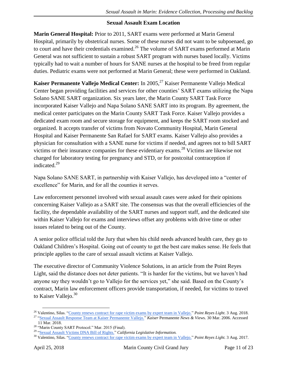#### **Sexual Assault Exam Location**

**Marin General Hospital:** Prior to 2011, SART exams were performed at Marin General Hospital, primarily by obstetrical nurses. Some of these nurses did not want to be subpoenaed, go to court and have their credentials examined.<sup>26</sup> The volume of SART exams performed at Marin General was not sufficient to sustain a robust SART program with nurses based locally. Victims typically had to wait a number of hours for SANE nurses at the hospital to be freed from regular duties. Pediatric exams were not performed at Marin General; these were performed in Oakland.

**Kaiser Permanente Vallejo Medical Center:** In 2005,<sup>27</sup> Kaiser Permanente Vallejo Medical Center began providing facilities and services for other counties' SART exams utilizing the Napa Solano SANE SART organization. Six years later, the Marin County SART Task Force incorporated Kaiser Vallejo and Napa Solano SANE SART into its program. By agreement, the medical center participates on the Marin County SART Task Force. Kaiser Vallejo provides a dedicated exam room and secure storage for equipment, and keeps the SART room stocked and organized. It accepts transfer of victims from Novato Community Hospital, Marin General Hospital and Kaiser Permanente San Rafael for SART exams. Kaiser Vallejo also provides a physician for consultation with a SANE nurse for victims if needed, and agrees not to bill SART victims or their insurance companies for these evidentiary exams.<sup>28</sup> Victims are likewise not charged for laboratory testing for pregnancy and STD, or for postcoital contraception if indicated.<sup>29</sup>

Napa Solano SANE SART, in partnership with Kaiser Vallejo, has developed into a "center of excellence" for Marin, and for all the counties it serves.

Law enforcement personnel involved with sexual assault cases were asked for their opinions concerning Kaiser Vallejo as a SART site. The consensus was that the overall efficiencies of the facility, the dependable availability of the SART nurses and support staff, and the dedicated site within Kaiser Vallejo for exams and interviews offset any problems with drive time or other issues related to being out of the County.

A senior police official told the Jury that when his child needs advanced health care, they go to Oakland Children's Hospital. Going out of county to get the best care makes sense. He feels that principle applies to the care of sexual assault victims at Kaiser Vallejo.

The executive director of Community Violence Solutions, in an article from the Point Reyes Light, said the distance does not deter patients. "It is harder for the victims, but we haven't had anyone say they wouldn't go to Vallejo for the services yet," she said. Based on the County's contract, Marin law enforcement officers provide transportation, if needed, for victims to travel to Kaiser Vallejo. $30$ 

<sup>26</sup> Valentino, Silas. ["County renews contract for rape victim exams by expert team in Vallejo."](https://www.ptreyeslight.com/article/county-renews-contract-rape-victim-exams-expert-team-vallejo) *Point Reyes Light*. 3 Aug. 2018.

<sup>27</sup> ["Sexual Assault Response Team at Kaiser Permanente Vallejo."](http://kp-share.dev.racepoint.io/article/sexual-assault-response-team-at-kaiser-permanente-vallejo/) *Kaiser* Permanente *News & View*s. 30 Mar. 2006. Accessed 11 Mar. 2018.

<sup>28</sup> "Marin County SART Protocol." Mar. 2015 (Final).

<sup>29</sup> ["Sexual Assault Victims DNA Bill of Rights."](http://leginfo.legislature.ca.gov/faces/codes_displaySection.xhtml?lawCode=PEN§ionNum=680.) *California Legislative Information.*

<sup>30</sup> Valentino, Silas. ["County renews contract for rape victim exams by expert team in Vallejo."](https://www.ptreyeslight.com/article/county-renews-contract-rape-victim-exams-expert-team-vallejo) *Point Reyes Light.* 3 Aug. 2017.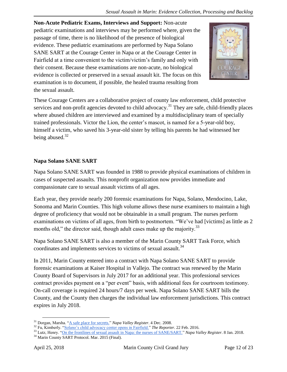**Non-Acute Pediatric Exams, Interviews and Support:** Non-acute pediatric examinations and interviews may be performed where, given the passage of time, there is no likelihood of the presence of biological evidence. These pediatric examinations are performed by Napa Solano SANE SART at the Courage Center in Napa or at the Courage Center in Fairfield at a time convenient to the victim/victim's family and only with their consent. Because these examinations are non-acute, no biological evidence is collected or preserved in a sexual assault kit. The focus on this examination is to document, if possible, the healed trauma resulting from the sexual assault.



These Courage Centers are a collaborative project of county law enforcement, child protective services and non-profit agencies devoted to child advocacy.<sup>31</sup> They are safe, child-friendly places where abused children are interviewed and examined by a multidisciplinary team of specially trained professionals. Victor the Lion, the center's mascot, is named for a 5-year-old boy, himself a victim, who saved his 3-year-old sister by telling his parents he had witnessed her being abused. $32$ 

#### **Napa Solano SANE SART**

Napa Solano SANE SART was founded in 1988 to provide physical examinations of children in cases of suspected assaults. This nonprofit organization now provides immediate and compassionate care to sexual assault victims of all ages.

Each year, they provide nearly 200 forensic examinations for Napa, Solano, Mendocino, Lake, Sonoma and Marin Counties. This high volume allows these nurse examiners to maintain a high degree of proficiency that would not be obtainable in a small program. The nurses perform examinations on victims of all ages, from birth to postmortem. "We've had [victims] as little as 2 months old," the director said, though adult cases make up the majority. $^{33}$ 

Napa Solano SANE SART is also a member of the Marin County SART Task Force, which coordinates and implements services to victims of sexual assault.<sup>34</sup>

In 2011, Marin County entered into a contract with Napa Solano SANE SART to provide forensic examinations at Kaiser Hospital in Vallejo. The contract was renewed by the Marin County Board of Supervisors in July 2017 for an additional year. This professional services contract provides payment on a "per event" basis, with additional fees for courtroom testimony. On-call coverage is required 24 hours/7 days per week. Napa Solano SANE SART bills the County, and the County then charges the individual law enforcement jurisdictions. This contract expires in July 2018.

<sup>34</sup> Marin County SART Protocol. Mar. 2015 (Final).

 $\overline{a}$ <sup>31</sup> Dorgan, Marsha. ["A safe place for secrets."](http://napavalleyregister.com/news/local/a-safe-place-for-secrets/article_6fcdda2c-59ea-5367-bb35-679451eb143a.html) *Napa Valley Register*. 4 Dec. 2008.

<sup>32</sup> Fu, Kimberly. ["Solano's child advocacy center opens in Fairfield."](http://www.thereporter.com/general-news/20160222/solanos-child-advocacy-center-opens-in-fairfield) *The Reporter*. 22 Feb. 2016.

<sup>33</sup> Lutz, Henry. ["On the frontlines of sexual assault in Napa: the nurses of SANE/SART."](http://napavalleyregister.com/news/local/on-the-front-lines-of-sexual-assault-in-napa-the/article_1ecd7ea0-9223-53bb-a13a-cb5b8246c679.html) *Napa Valley Register*. 8 Jan. 2018.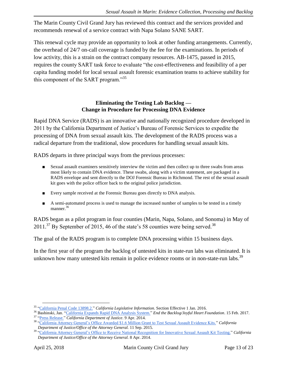The Marin County Civil Grand Jury has reviewed this contract and the services provided and recommends renewal of a service contract with Napa Solano SANE SART.

This renewal cycle may provide an opportunity to look at other funding arrangements. Currently, the overhead of 24/7 on-call coverage is funded by the fee for the examinations. In periods of low activity, this is a strain on the contract company resources. AB-1475, passed in 2015, requires the county SART task force to evaluate "the cost-effectiveness and feasibility of a per capita funding model for local sexual assault forensic examination teams to achieve stability for this component of the SART program."<sup>35</sup>

#### **Eliminating the Testing Lab Backlog — Change in Procedure for Processing DNA Evidence**

Rapid DNA Service (RADS) is an innovative and nationally recognized procedure developed in 2011 by the California Department of Justice's Bureau of Forensic Services to expedite the processing of DNA from sexual assault kits. The development of the RADS process was a radical departure from the traditional, slow procedures for handling sexual assault kits.

RADS departs in three principal ways from the previous processes:

- Sexual assault examiners sensitively interview the victim and then collect up to three swabs from areas most likely to contain DNA evidence. These swabs, along with a victim statement, are packaged in a RADS envelope and sent directly to the DOJ Forensic Bureau in Richmond. The rest of the sexual assault kit goes with the police officer back to the original police jurisdiction.
- Every sample received at the Forensic Bureau goes directly to DNA analysis.
- A semi-automated process is used to manage the increased number of samples to be tested in a timely manner.<sup>36</sup>

RADS began as a pilot program in four counties (Marin, Napa, Solano, and Sonoma) in May of  $2011.^{37}$  By September of 2015, 46 of the state's 58 counties were being served.<sup>38</sup>

The goal of the RADS program is to complete DNA processing within 15 business days.

In the first year of the program the backlog of untested kits in state-run labs was eliminated. It is unknown how many untested kits remain in police evidence rooms or in non-state-run labs.<sup>39</sup>

<sup>35</sup> ["California Penal Code 13898.2."](https://leginfo.legislature.ca.gov/faces/codes_displayText.xhtml?lawCode=PEN&division=&title=6.&part=4.&chapter=12.&article=) *California Legislative Information.* Section Effective 1 Jan. 2016.

<sup>36</sup> Bashinski, Jan. ["California Expands Rapid DNA Analysis System."](http://www.endthebacklog.org/blog/guest-post-california-expands-rapid-dna-analysis-system) *End the Backlog/Joyful Heart Foundation*. 15 Feb. 2017.

<sup>37</sup> ["Press Release."](https://ojp.gov/newsroom/pressreleases/2014/ojppr040914_RADS.pdf) *California Department of Justice*. 9 Apr. 2014.

<sup>38</sup> ["California Attorney General's Office Awarded \\$1.6 Million Grant to Test Sexual Assault Evidence Kits."](https://oag.ca.gov/news/press-releases/california-attorney-general%E2%80%99s-office-awarded-16-million-grant-test-sexual) *California Department of Justice/Office of the Attorney General.* 11 Sep. 2015.

<sup>39</sup> ["California Attorney General's Office to Receive National Recognition for Innovative Sexual Assault Kit Testing."](https://oag.ca.gov/news/press-releases/california-attorney-general%E2%80%99s-office-receive-national-recognition-innovation) *California Department of Justice/Office of the Attorney General.* 8 Apr. 2014.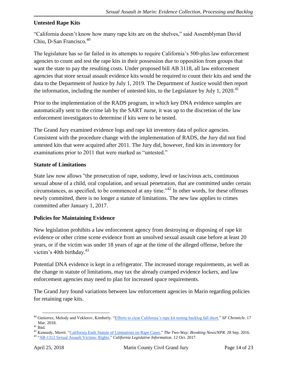#### **Untested Rape Kits**

"California doesn't know how many rape kits are on the shelves," said Assemblyman David Chiu, D-San Francisco.<sup>40</sup>

The legislature has so far failed in its attempts to require California's 500-plus law enforcement agencies to count and test the rape kits in their possession due to opposition from groups that want the state to pay the resulting costs. Under proposed bill AB 3118, all law enforcement agencies that store sexual assault evidence kits would be required to count their kits and send the data to the Department of Justice by July 1, 2019. The Department of Justice would then report the information, including the number of untested kits, to the Legislature by July 1, 2020.<sup>41</sup>

Prior to the implementation of the RADS program, in which key DNA evidence samples are automatically sent to the crime lab by the SART nurse, it was up to the discretion of the law enforcement investigators to determine if kits were to be tested.

The Grand Jury examined evidence logs and rape kit inventory data of police agencies. Consistent with the procedure change with the implementation of RADS, the Jury did not find untested kits that were acquired after 2011. The Jury did, however, find kits in inventory for examinations prior to 2011 that were marked as "untested."

#### **Statute of Limitations**

State law now allows "the prosecution of rape, sodomy, lewd or lascivious acts, continuous sexual abuse of a child, oral copulation, and sexual penetration, that are committed under certain circumstances, as specified, to be commenced at any time."<sup>42</sup> In other words, for these offenses newly committed, there is no longer a statute of limitations. The new law applies to crimes committed after January 1, 2017.

#### **Policies for Maintaining Evidence**

New legislation prohibits a law enforcement agency from destroying or disposing of rape kit evidence or other crime scene evidence from an unsolved sexual assault case before at least 20 years, or if the victim was under 18 years of age at the time of the alleged offense, before the victim's 40th birthday. $43$ 

Potential DNA evidence is kept in a refrigerator. The increased storage requirements, as well as the change in statute of limitations, may tax the already cramped evidence lockers, and law enforcement agencies may need to plan for increased space requirements.

The Grand Jury found variations between law enforcement agencies in Marin regarding policies for retaining rape kits.

<sup>40</sup> Gutierrez, Melody and Veklerov, Kimberly. ["Efforts to clear California's rape kit testing backlog fall short."](https://www.sfchronicle.com/news/article/Efforts-to-clear-California-s-rape-kit-testing-12760627.php) *SF Chronicle*. 17 Mar. 2018.

 $^{\rm 41}$  Ibid.

<sup>42</sup> Kennedy, Merrit. ["California Ends Statute of Limitations on Rape Cases."](https://www.npr.org/sections/thetwo-way/2016/09/28/495856974/california-eliminates-statute-of-limitations-on-rape-cases%20%20SB%20813) *The Two-Way: Breaking News/NPR.* 28 Sep. 2016. <sup>43</sup> ["AB-1312 Sexual Assault Victims: Rights."](https://leginfo.legislature.ca.gov/faces/billTextClient.xhtml?bill_id=201720180AB1312) *California Legislative Information.* 12 Oct. 2017.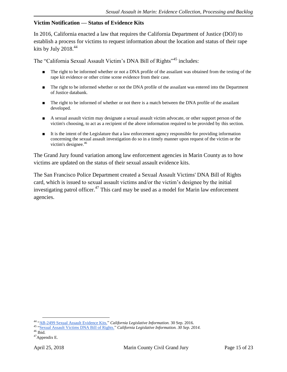#### **Victim Notification — Status of Evidence Kits**

In 2016, California enacted a law that requires the California Department of Justice (DOJ) to establish a process for victims to request information about the location and status of their rape kits by July 2018. $44$ 

The "California Sexual Assault Victim's DNA Bill of Rights"<sup>45</sup> includes:

- The right to be informed whether or not a DNA profile of the assailant was obtained from the testing of the rape kit evidence or other crime scene evidence from their case.
- The right to be informed whether or not the DNA profile of the assailant was entered into the Department of Justice databank.
- The right to be informed of whether or not there is a match between the DNA profile of the assailant developed.
- A sexual assault victim may designate a sexual assault victim advocate, or other support person of the victim's choosing, to act as a recipient of the above information required to be provided by this section.
- It is the intent of the Legislature that a law enforcement agency responsible for providing information concerning the sexual assault investigation do so in a timely manner upon request of the victim or the victim's designee.<sup>46</sup>

The Grand Jury found variation among law enforcement agencies in Marin County as to how victims are updated on the status of their sexual assault evidence kits.

The San Francisco Police Department created a Sexual Assault Victims' DNA Bill of Rights card, which is issued to sexual assault victims and/or the victim's designee by the initial investigating patrol officer. $47$  This card may be used as a model for Marin law enforcement agencies.

<sup>44</sup> ["AB-2499 Sexual Assault Evidence Kits."](https://leginfo.legislature.ca.gov/faces/billCompareClient.xhtml?bill_id=201520160AB2499) *California Legislative Information.* 30 Sep. 2016.

<sup>45</sup> ["Sexual Assault Victims DNA Bill of Rights."](http://leginfo.legislature.ca.gov/faces/codes_displaySection.xhtml?lawCode=PEN§ionNum=680.) *California Legislative Information. 30 Sep. 2014.*

 $46$  Ibid.

<sup>47</sup>Appendix E.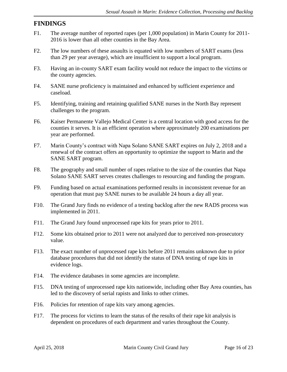# **FINDINGS**

- F1. The average number of reported rapes (per 1,000 population) in Marin County for 2011- 2016 is lower than all other counties in the Bay Area.
- F2. The low numbers of these assaults is equated with low numbers of SART exams (less than 29 per year average), which are insufficient to support a local program.
- F3. Having an in-county SART exam facility would not reduce the impact to the victims or the county agencies.
- F4. SANE nurse proficiency is maintained and enhanced by sufficient experience and caseload.
- F5. Identifying, training and retaining qualified SANE nurses in the North Bay represent challenges to the program.
- F6. Kaiser Permanente Vallejo Medical Center is a central location with good access for the counties it serves. It is an efficient operation where approximately 200 examinations per year are performed.
- F7. Marin County's contract with Napa Solano SANE SART expires on July 2, 2018 and a renewal of the contract offers an opportunity to optimize the support to Marin and the SANE SART program.
- F8. The geography and small number of rapes relative to the size of the counties that Napa Solano SANE SART serves creates challenges to resourcing and funding the program.
- F9. Funding based on actual examinations performed results in inconsistent revenue for an operation that must pay SANE nurses to be available 24 hours a day all year.
- F10. The Grand Jury finds no evidence of a testing backlog after the new RADS process was implemented in 2011.
- F11. The Grand Jury found unprocessed rape kits for years prior to 2011.
- F12. Some kits obtained prior to 2011 were not analyzed due to perceived non-prosecutory value.
- F13. The exact number of unprocessed rape kits before 2011 remains unknown due to prior database procedures that did not identify the status of DNA testing of rape kits in evidence logs.
- F14. The evidence databases in some agencies are incomplete.
- F15. DNA testing of unprocessed rape kits nationwide, including other Bay Area counties, has led to the discovery of serial rapists and links to other crimes.
- F16. Policies for retention of rape kits vary among agencies.
- F17. The process for victims to learn the status of the results of their rape kit analysis is dependent on procedures of each department and varies throughout the County.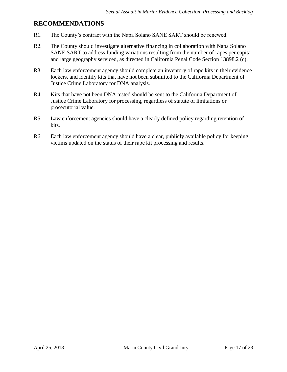### **RECOMMENDATIONS**

- R1. The County's contract with the Napa Solano SANE SART should be renewed.
- R2. The County should investigate alternative financing in collaboration with Napa Solano SANE SART to address funding variations resulting from the number of rapes per capita and large geography serviced, as directed in California Penal Code Section 13898.2 (c).
- R3. Each law enforcement agency should complete an inventory of rape kits in their evidence lockers, and identify kits that have not been submitted to the California Department of Justice Crime Laboratory for DNA analysis.
- R4. Kits that have not been DNA tested should be sent to the California Department of Justice Crime Laboratory for processing, regardless of statute of limitations or prosecutorial value.
- R5. Law enforcement agencies should have a clearly defined policy regarding retention of kits.
- R6. Each law enforcement agency should have a clear, publicly available policy for keeping victims updated on the status of their rape kit processing and results.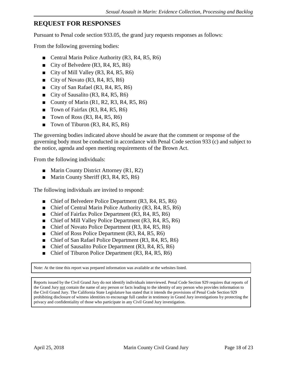## **REQUEST FOR RESPONSES**

Pursuant to Penal code section 933.05, the grand jury requests responses as follows:

From the following governing bodies:

- Central Marin Police Authority (R3, R4, R5, R6)
- City of Belvedere (R3, R4, R5, R6)
- City of Mill Valley (R3, R4, R5, R6)
- City of Novato  $(R3, R4, R5, R6)$
- City of San Rafael (R3, R4, R5, R6)
- City of Sausalito (R3, R4, R5, R6)
- County of Marin  $(R1, R2, R3, R4, R5, R6)$
- Town of Fairfax (R3, R4, R5, R6)
- **Town of Ross (R3, R4, R5, R6)**
- **Town of Tiburon (R3, R4, R5, R6)**

The governing bodies indicated above should be aware that the comment or response of the governing body must be conducted in accordance with Penal Code section 933 (c) and subject to the notice, agenda and open meeting requirements of the Brown Act.

From the following individuals:

- Marin County District Attorney (R1, R2)
- Marin County Sheriff (R3, R4, R5, R6)

The following individuals are invited to respond:

- Chief of Belvedere Police Department (R3, R4, R5, R6)
- Chief of Central Marin Police Authority (R3, R4, R5, R6)
- Chief of Fairfax Police Department (R3, R4, R5, R6)
- Chief of Mill Valley Police Department (R3, R4, R5, R6)
- Chief of Novato Police Department (R3, R4, R5, R6)
- Chief of Ross Police Department (R3, R4, R5, R6)
- Chief of San Rafael Police Department (R3, R4, R5, R6)
- Chief of Sausalito Police Department (R3, R4, R5, R6)
- Chief of Tiburon Police Department (R3, R4, R5, R6)

Note: At the time this report was prepared information was available at the websites listed.

Reports issued by the Civil Grand Jury do not identify individuals interviewed. Penal Code Section 929 requires that reports of the Grand Jury not contain the name of any person or facts leading to the identity of any person who provides information to the Civil Grand Jury. The California State Legislature has stated that it intends the provisions of Penal Code Section 929 prohibiting disclosure of witness identities to encourage full candor in testimony in Grand Jury investigations by protecting the privacy and confidentiality of those who participate in any Civil Grand Jury investigation.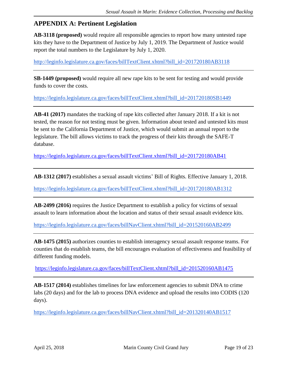# **APPENDIX A: Pertinent Legislation**

**AB-3118 (proposed)** would require all responsible agencies to report how many untested rape kits they have to the Department of Justice by July 1, 2019. The Department of Justice would report the total numbers to the Legislature by July 1, 2020.

[http://leginfo.legislature.ca.gov/faces/billTextClient.xhtml?bill\\_id=201720180AB3118](http://leginfo.legislature.ca.gov/faces/billTextClient.xhtml?bill_id=201720180AB3118)

**SB-1449 (proposed)** would require all new rape kits to be sent for testing and would provide funds to cover the costs.

[https://leginfo.legislature.ca.gov/faces/billTextClient.xhtml?bill\\_id=201720180SB1449](https://leginfo.legislature.ca.gov/faces/billTextClient.xhtml?bill_id=201720180SB1449)

**AB-41 (2017)** mandates the tracking of rape kits collected after January 2018. If a kit is not tested, the reason for not testing must be given. Information about tested and untested kits must be sent to the California Department of Justice, which would submit an annual report to the legislature. The bill allows victims to track the progress of their kits through the SAFE-T database.

[https://leginfo.legislature.ca.gov/faces/billTextClient.xhtml?bill\\_id=201720180AB41](https://leginfo.legislature.ca.gov/faces/billTextClient.xhtml?bill_id=201720180AB41)

**AB-1312 (2017)** establishes a sexual assault victims' Bill of Rights. Effective January 1, 2018.

[https://leginfo.legislature.ca.gov/faces/billTextClient.xhtml?bill\\_id=201720180AB1312](https://leginfo.legislature.ca.gov/faces/billTextClient.xhtml?bill_id=201720180AB1312)

**AB-2499 (2016)** requires the Justice Department to establish a policy for victims of sexual assault to learn information about the location and status of their sexual assault evidence kits.

[https://leginfo.legislature.ca.gov/faces/billNavClient.xhtml?bill\\_id=201520160AB2499](https://leginfo.legislature.ca.gov/faces/billNavClient.xhtml?bill_id=201520160AB2499)

**AB-1475 (2015)** authorizes counties to establish interagency sexual assault response teams. For counties that do establish teams, the bill encourages evaluation of effectiveness and feasibility of different funding models.

[https://leginfo.legislature.ca.gov/faces/billTextClient.xhtml?bill\\_id=201520160AB1475](https://leginfo.legislature.ca.gov/faces/billTextClient.xhtml?bill_id=201520160AB1475)

**AB-1517 (2014)** establishes timelines for law enforcement agencies to submit DNA to crime labs (20 days) and for the lab to process DNA evidence and upload the results into CODIS (120 days).

[https://leginfo.legislature.ca.gov/faces/billNavClient.xhtml?bill\\_id=201320140AB1517](https://leginfo.legislature.ca.gov/faces/billNavClient.xhtml?bill_id=201320140AB1517)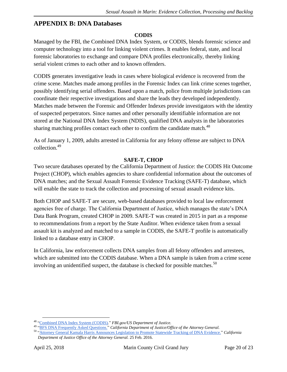## **APPENDIX B: DNA Databases**

#### **CODIS**

Managed by the FBI, the Combined DNA Index System, or CODIS, blends forensic science and computer technology into a tool for linking violent crimes. It enables federal, state, and local forensic laboratories to exchange and compare DNA profiles electronically, thereby linking serial violent crimes to each other and to known offenders.

CODIS generates investigative leads in cases where biological evidence is recovered from the crime scene. Matches made among profiles in the Forensic Index can link crime scenes together, possibly identifying serial offenders. Based upon a match, police from multiple jurisdictions can coordinate their respective investigations and share the leads they developed independently. Matches made between the Forensic and Offender Indexes provide investigators with the identity of suspected perpetrators. Since names and other personally identifiable information are not stored at the National DNA Index System (NDIS), qualified DNA analysts in the laboratories sharing matching profiles contact each other to confirm the candidate match.<sup>48</sup>

As of January 1, 2009, adults arrested in California for any felony offense are subject to DNA collection.<sup>49</sup>

#### **SAFE-T, CHOP**

Two secure databases operated by the California Department of Justice: the CODIS Hit Outcome Project (CHOP), which enables agencies to share confidential information about the outcomes of DNA matches; and the Sexual Assault Forensic Evidence Tracking (SAFE-T) database, which will enable the state to track the collection and processing of sexual assault evidence kits.

Both CHOP and SAFE-T are secure, web-based databases provided to local law enforcement agencies free of charge. The California Department of Justice, which manages the state's DNA Data Bank Program, created CHOP in 2009. SAFE-T was created in 2015 in part as a response to recommendations from a report by the State Auditor. When evidence taken from a sexual assault kit is analyzed and matched to a sample in CODIS, the SAFE-T profile is automatically linked to a database entry in CHOP.

In California, law enforcement collects DNA samples from all felony offenders and arrestees, which are submitted into the CODIS database. When a DNA sample is taken from a crime scene involving an unidentified suspect, the database is checked for possible matches.<sup>50</sup>

 $\overline{a}$ <sup>48</sup> ["Combined DNA Index System \(CODIS\)](https://www.fbi.gov/services/laboratory/biometric-analysis/codis)*.*" *FBI.gov/US Department of Justice.* 

<sup>49</sup> ["BFS DNA Frequently Asked Questions."](https://oag.ca.gov/bfs/prop69/faqs) *California Department of Justice/Office of the Attorney General.*

<sup>50</sup> ["Attorney General Kamala Harris Announces Legislation to Promote Statewide Tracking of DNA Evidence."](https://www.oag.ca.gov/news/press-releases/attorney-general-kamala-d-harris-announces-legislation-promote-statewide) *California Department of Justice Office of the Attorney General.* 25 Feb. 2016.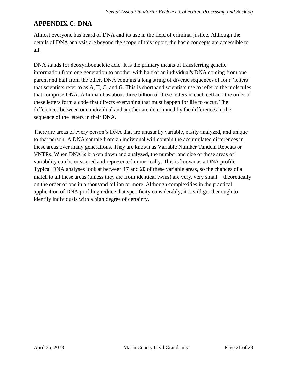# **APPENDIX C: DNA**

Almost everyone has heard of DNA and its use in the field of criminal justice. Although the details of DNA analysis are beyond the scope of this report, the basic concepts are accessible to all.

DNA stands for deoxyribonucleic acid. It is the primary means of transferring genetic information from one generation to another with half of an individual's DNA coming from one parent and half from the other. DNA contains a long string of diverse sequences of four "letters" that scientists refer to as A, T, C, and G. This is shorthand scientists use to refer to the molecules that comprise DNA. A human has about three billion of these letters in each cell and the order of these letters form a code that directs everything that must happen for life to occur. The differences between one individual and another are determined by the differences in the sequence of the letters in their DNA.

There are areas of every person's DNA that are unusually variable, easily analyzed, and unique to that person. A DNA sample from an individual will contain the accumulated differences in these areas over many generations. They are known as Variable Number Tandem Repeats or VNTRs. When DNA is broken down and analyzed, the number and size of these areas of variability can be measured and represented numerically. This is known as a DNA profile. Typical DNA analyses look at between 17 and 20 of these variable areas, so the chances of a match to all these areas (unless they are from identical twins) are very, very small—theoretically on the order of one in a thousand billion or more. Although complexities in the practical application of DNA profiling reduce that specificity considerably, it is still good enough to identify individuals with a high degree of certainty.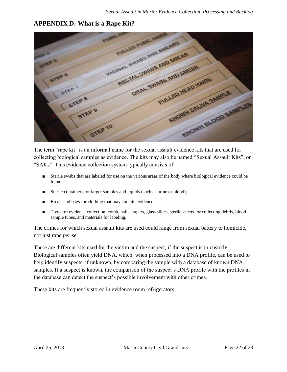# **APPENDIX D: What is a Rape Kit?**



The term "rape kit" is an informal name for the sexual assault evidence kits that are used for collecting biological samples as evidence. The kits may also be named "Sexual Assault Kits", or "SAKs". This evidence collection system typically consists of:

- Sterile swabs that are labeled for use on the various areas of the body where biological evidence could be found;
- Sterile containers for larger samples and liquids (such as urine or blood);
- Boxes and bags for clothing that may contain evidence;
- Tools for evidence collection: comb, nail scrapers, glass slides, sterile sheets for collecting debris, blood sample tubes, and materials for labeling.

The crimes for which sexual assault kits are used could range from sexual battery to homicide, not just rape *per se*.

There are different kits used for the victim and the suspect, if the suspect is in custody. Biological samples often yield DNA, which, when processed into a DNA profile, can be used to help identify suspects, if unknown, by comparing the sample with a database of known DNA samples. If a suspect is known, the comparison of the suspect's DNA profile with the profiles in the database can detect the suspect's possible involvement with other crimes.

These kits are frequently stored in evidence room refrigerators.